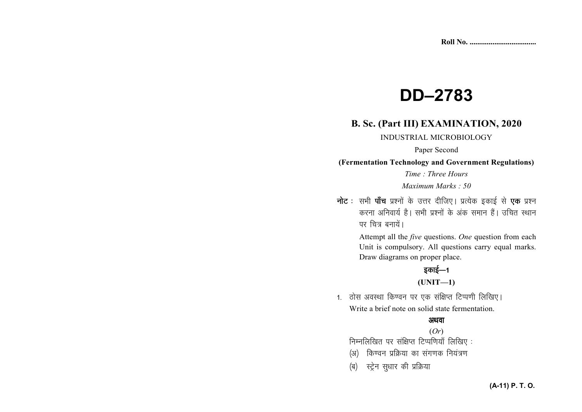# **DD–2783**

# **B. Sc. (Part III) EXAMINATION, 2020**

INDUSTRIAL MICROBIOLOGY

Paper Second

**(Fermentation Technology and Government Regulations)** *Time : Three Hours Maximum Marks : 50* 

**नोट** : सभी **पाँच** प्रश्नों के उत्तर दीजिए। प्रत्येक इकाई से **एक** प्रश्न करना अनिवार्य है। सभी प्रश्नों के अंक समान हैं। उचित स्थान *uv* चित्र बनायें ।

> Attempt all the *five* questions. *One* question from each Unit is compulsory. All questions carry equal marks. Draw diagrams on proper place.

# *bdkbZ*&*<sup>1</sup>*

### **(UNIT—1)**

1. ठोस अवस्था किण्वन पर एक संक्षिप्त टिप्पणी लिखिए। Write a brief note on solid state fermentation.

#### अथवा

## (*Or*)

*fuEufyf[kr ij laf{kIr fVIif.k;k¡ fyf[k, %* 

- *(अ)* किण्वन प्रक्रिया का संगणक नियंत्रण
- *(*ब) स्ट्रेन सुधार की प्रक्रिया